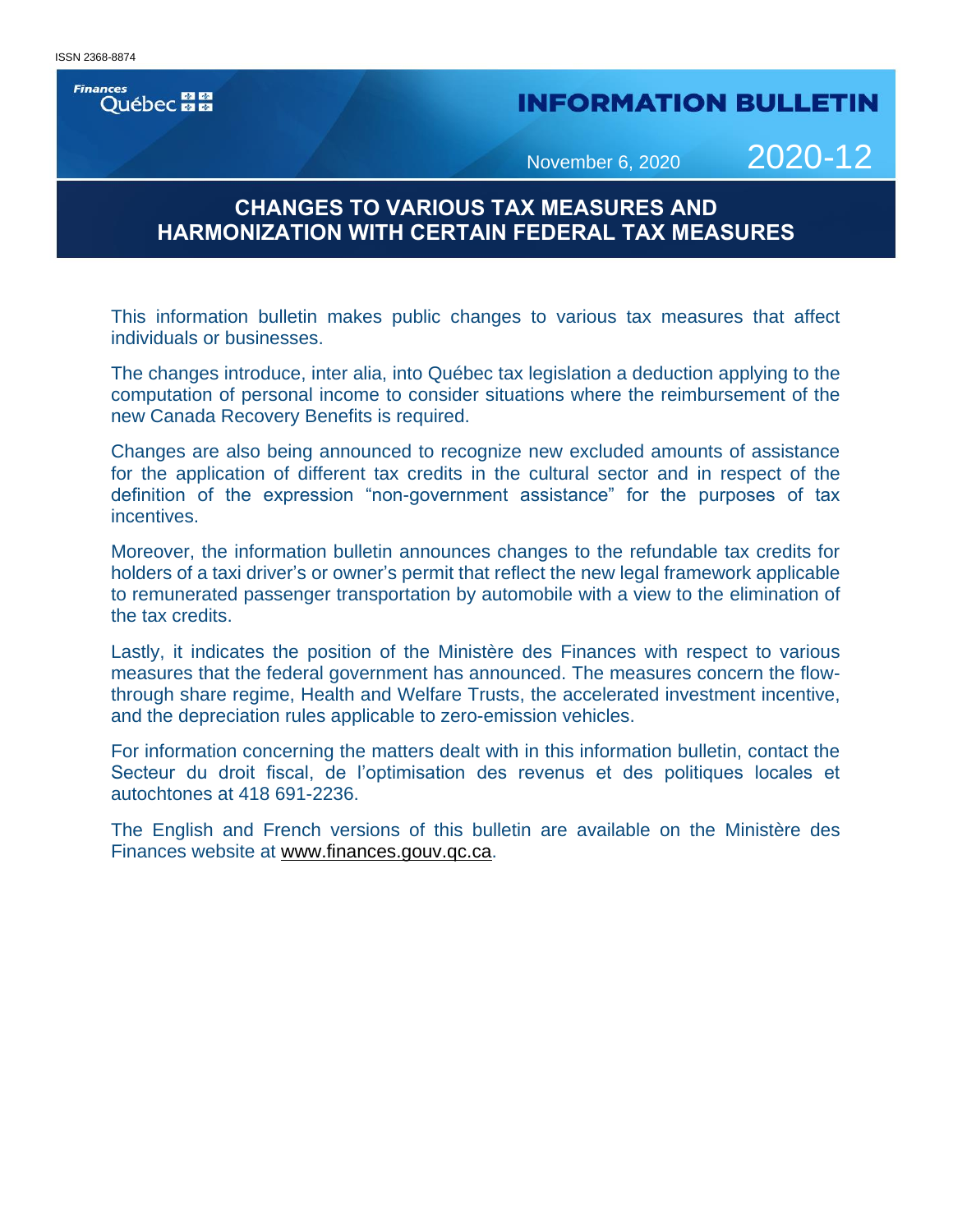#### **Finances** Québec **ME**

## **INFORMATION BULLETIN**

November 6, 2020 2020-12

## **CHANGES TO VARIOUS TAX MEASURES AND HARMONIZATION WITH CERTAIN FEDERAL TAX MEASURES**

This information bulletin makes public changes to various tax measures that affect individuals or businesses.

The changes introduce, inter alia, into Québec tax legislation a deduction applying to the computation of personal income to consider situations where the reimbursement of the new Canada Recovery Benefits is required.

Changes are also being announced to recognize new excluded amounts of assistance for the application of different tax credits in the cultural sector and in respect of the definition of the expression "non-government assistance" for the purposes of tax incentives.

Moreover, the information bulletin announces changes to the refundable tax credits for holders of a taxi driver's or owner's permit that reflect the new legal framework applicable to remunerated passenger transportation by automobile with a view to the elimination of the tax credits.

Lastly, it indicates the position of the Ministère des Finances with respect to various measures that the federal government has announced. The measures concern the flowthrough share regime, Health and Welfare Trusts, the accelerated investment incentive, and the depreciation rules applicable to zero-emission vehicles.

For information concerning the matters dealt with in this information bulletin, contact the Secteur du droit fiscal, de l'optimisation des revenus et des politiques locales et autochtones at 418 691-2236.

The English and French versions of this bulletin are available on the Ministère des Finances website at [www.finances.gouv.qc.ca.](http://www.finances.gouv.qc.ca/)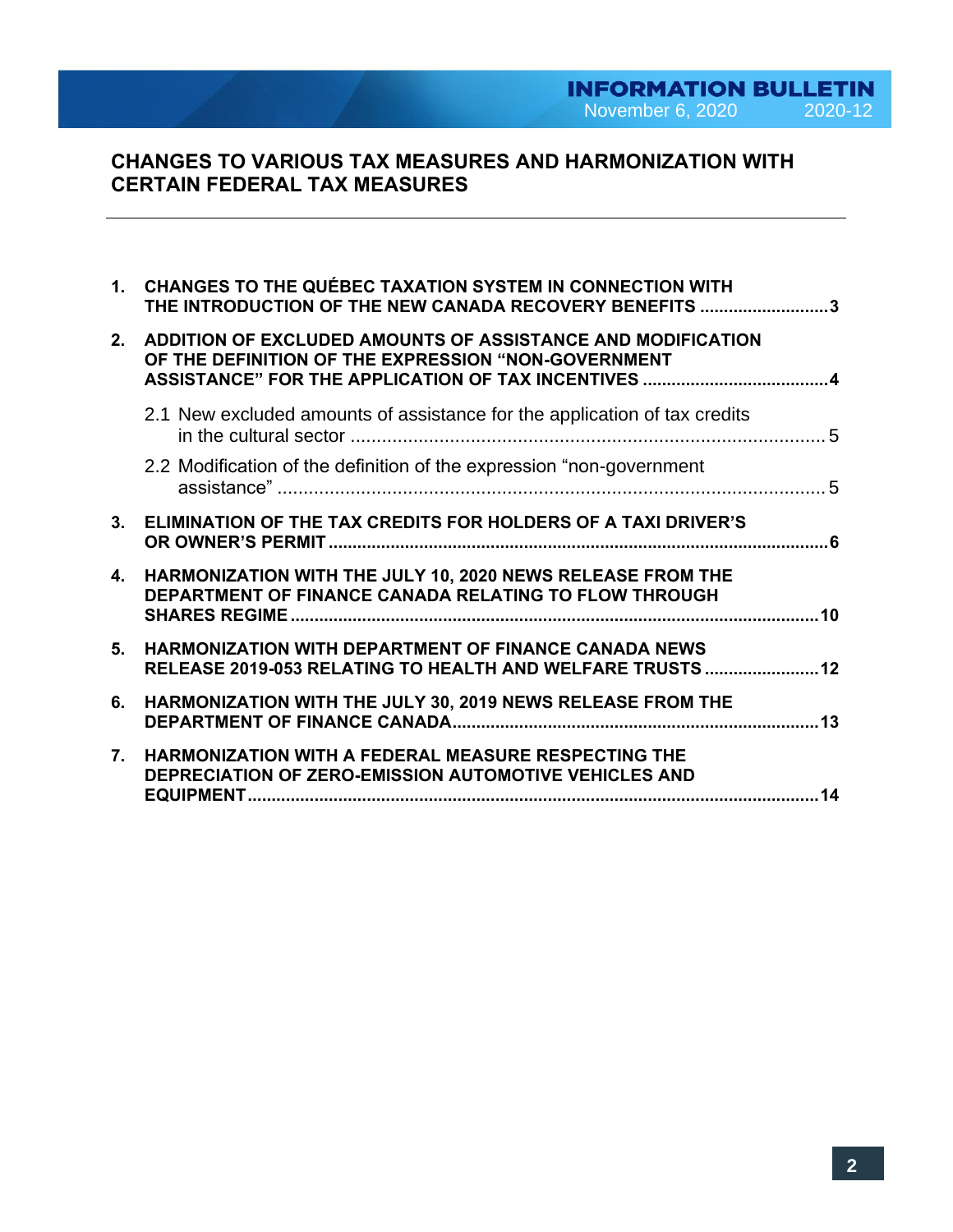# **INFORMATION BULLETIN**<br>November 6, 2020 2020-12

## **CHANGES TO VARIOUS TAX MEASURES AND HARMONIZATION WITH CERTAIN FEDERAL TAX MEASURES**

|    | 1. CHANGES TO THE QUÉBEC TAXATION SYSTEM IN CONNECTION WITH<br>THE INTRODUCTION OF THE NEW CANADA RECOVERY BENEFITS 3      |  |
|----|----------------------------------------------------------------------------------------------------------------------------|--|
| 2. | ADDITION OF EXCLUDED AMOUNTS OF ASSISTANCE AND MODIFICATION<br>OF THE DEFINITION OF THE EXPRESSION "NON-GOVERNMENT         |  |
|    | 2.1 New excluded amounts of assistance for the application of tax credits                                                  |  |
|    | 2.2 Modification of the definition of the expression "non-government"                                                      |  |
|    | 3. ELIMINATION OF THE TAX CREDITS FOR HOLDERS OF A TAXI DRIVER'S                                                           |  |
| 4. | HARMONIZATION WITH THE JULY 10, 2020 NEWS RELEASE FROM THE<br><b>DEPARTMENT OF FINANCE CANADA RELATING TO FLOW THROUGH</b> |  |
| 5. | <b>HARMONIZATION WITH DEPARTMENT OF FINANCE CANADA NEWS</b><br>RELEASE 2019-053 RELATING TO HEALTH AND WELFARE TRUSTS  12  |  |
| 6. | HARMONIZATION WITH THE JULY 30, 2019 NEWS RELEASE FROM THE                                                                 |  |
| 7. | <b>HARMONIZATION WITH A FEDERAL MEASURE RESPECTING THE</b><br><b>DEPRECIATION OF ZERO-EMISSION AUTOMOTIVE VEHICLES AND</b> |  |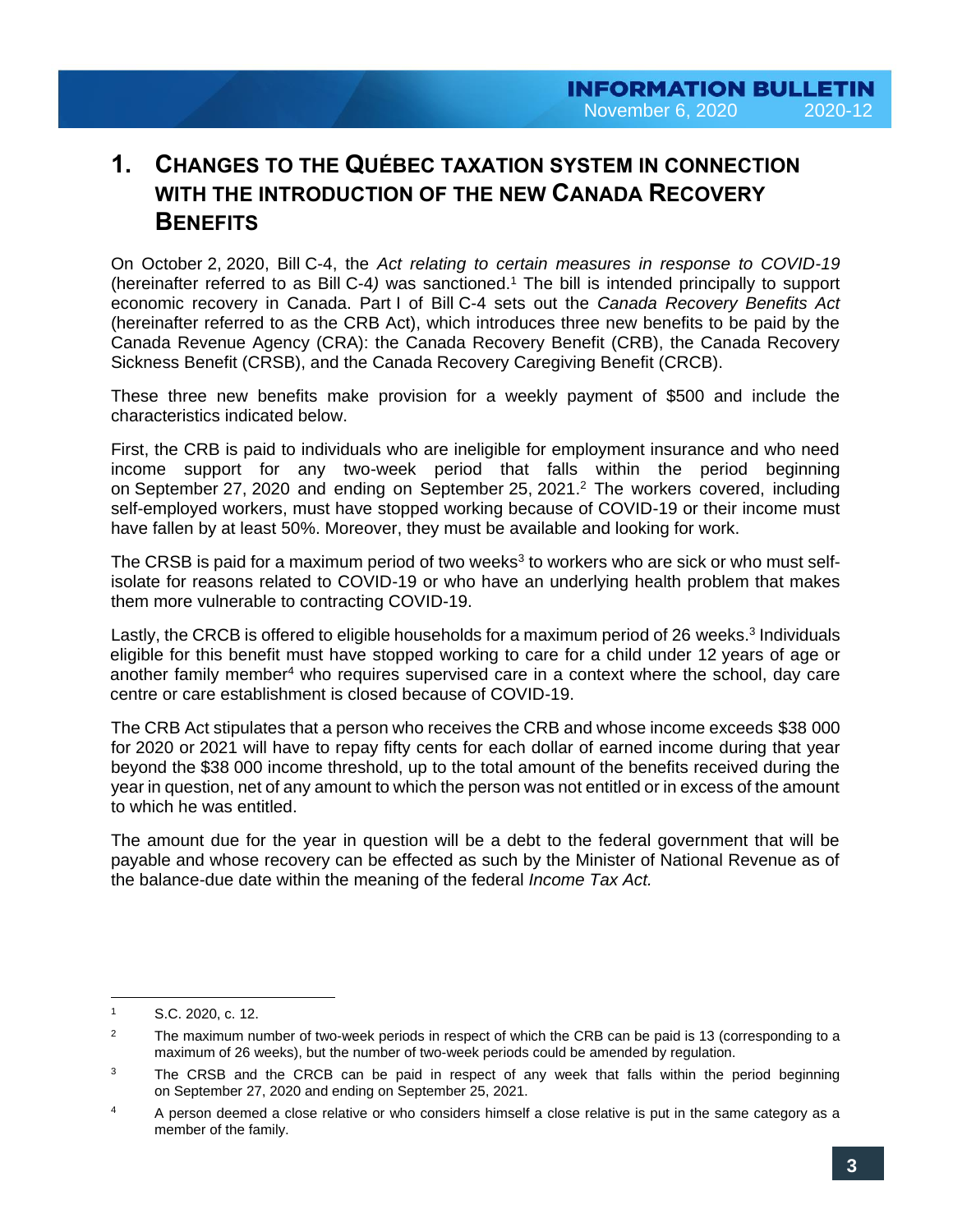# **1. CHANGES TO THE QUÉBEC TAXATION SYSTEM IN CONNECTION WITH THE INTRODUCTION OF THE NEW CANADA RECOVERY BENEFITS**

On October 2, 2020, Bill C-4, the *Act relating to certain measures in response to COVID-19*  (hereinafter referred to as Bill C-4*)* was sanctioned.<sup>1</sup> The bill is intended principally to support economic recovery in Canada. Part I of Bill C-4 sets out the *Canada Recovery Benefits Act*  (hereinafter referred to as the CRB Act), which introduces three new benefits to be paid by the Canada Revenue Agency (CRA): the Canada Recovery Benefit (CRB), the Canada Recovery Sickness Benefit (CRSB), and the Canada Recovery Caregiving Benefit (CRCB).

These three new benefits make provision for a weekly payment of \$500 and include the characteristics indicated below.

First, the CRB is paid to individuals who are ineligible for employment insurance and who need income support for any two-week period that falls within the period beginning on September 27, 2020 and ending on September 25, 2021.<sup>2</sup> The workers covered, including self-employed workers, must have stopped working because of COVID-19 or their income must have fallen by at least 50%. Moreover, they must be available and looking for work.

The CRSB is paid for a maximum period of two weeks<sup>3</sup> to workers who are sick or who must selfisolate for reasons related to COVID-19 or who have an underlying health problem that makes them more vulnerable to contracting COVID-19.

Lastly, the CRCB is offered to eligible households for a maximum period of 26 weeks.<sup>3</sup> Individuals eligible for this benefit must have stopped working to care for a child under 12 years of age or another family member<sup>4</sup> who requires supervised care in a context where the school, day care centre or care establishment is closed because of COVID-19.

The CRB Act stipulates that a person who receives the CRB and whose income exceeds \$38 000 for 2020 or 2021 will have to repay fifty cents for each dollar of earned income during that year beyond the \$38 000 income threshold, up to the total amount of the benefits received during the year in question, net of any amount to which the person was not entitled or in excess of the amount to which he was entitled.

The amount due for the year in question will be a debt to the federal government that will be payable and whose recovery can be effected as such by the Minister of National Revenue as of the balance-due date within the meaning of the federal *Income Tax Act.*

 $\overline{a}$ 

<sup>1</sup> S.C. 2020, c. 12.

<sup>&</sup>lt;sup>2</sup> The maximum number of two-week periods in respect of which the CRB can be paid is 13 (corresponding to a maximum of 26 weeks), but the number of two-week periods could be amended by regulation.

<sup>&</sup>lt;sup>3</sup> The CRSB and the CRCB can be paid in respect of any week that falls within the period beginning on September 27, 2020 and ending on September 25, 2021.

<sup>&</sup>lt;sup>4</sup> A person deemed a close relative or who considers himself a close relative is put in the same category as a member of the family.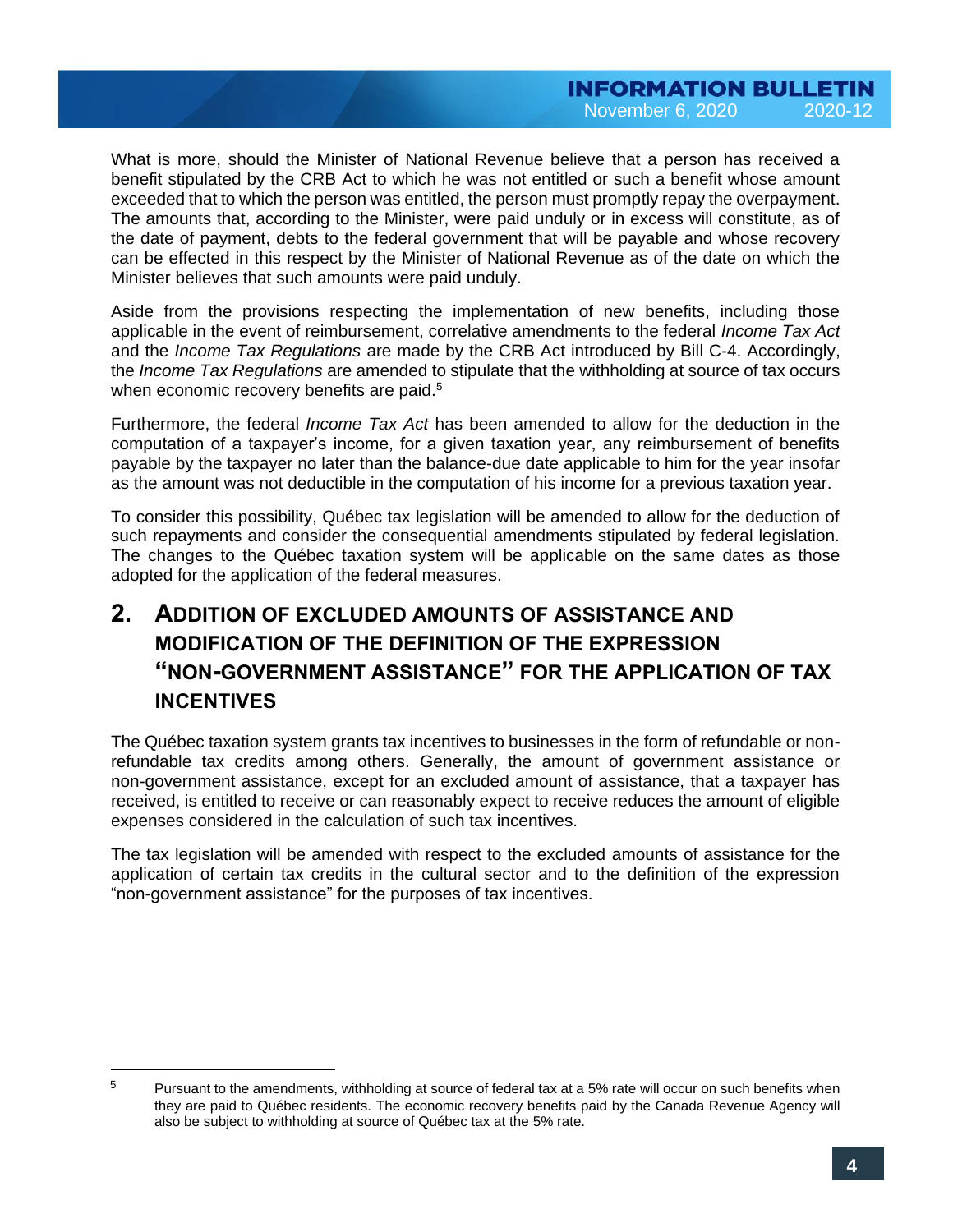What is more, should the Minister of National Revenue believe that a person has received a benefit stipulated by the CRB Act to which he was not entitled or such a benefit whose amount exceeded that to which the person was entitled, the person must promptly repay the overpayment. The amounts that, according to the Minister, were paid unduly or in excess will constitute, as of the date of payment, debts to the federal government that will be payable and whose recovery can be effected in this respect by the Minister of National Revenue as of the date on which the Minister believes that such amounts were paid unduly.

Aside from the provisions respecting the implementation of new benefits, including those applicable in the event of reimbursement, correlative amendments to the federal *Income Tax Act*  and the *Income Tax Regulations* are made by the CRB Act introduced by Bill C-4. Accordingly, the *Income Tax Regulations* are amended to stipulate that the withholding at source of tax occurs when economic recovery benefits are paid.<sup>5</sup>

Furthermore, the federal *Income Tax Act* has been amended to allow for the deduction in the computation of a taxpayer's income, for a given taxation year, any reimbursement of benefits payable by the taxpayer no later than the balance-due date applicable to him for the year insofar as the amount was not deductible in the computation of his income for a previous taxation year.

To consider this possibility, Québec tax legislation will be amended to allow for the deduction of such repayments and consider the consequential amendments stipulated by federal legislation. The changes to the Québec taxation system will be applicable on the same dates as those adopted for the application of the federal measures.

# **2. ADDITION OF EXCLUDED AMOUNTS OF ASSISTANCE AND MODIFICATION OF THE DEFINITION OF THE EXPRESSION "NON-GOVERNMENT ASSISTANCE" FOR THE APPLICATION OF TAX INCENTIVES**

The Québec taxation system grants tax incentives to businesses in the form of refundable or nonrefundable tax credits among others. Generally, the amount of government assistance or non-government assistance, except for an excluded amount of assistance, that a taxpayer has received, is entitled to receive or can reasonably expect to receive reduces the amount of eligible expenses considered in the calculation of such tax incentives.

The tax legislation will be amended with respect to the excluded amounts of assistance for the application of certain tax credits in the cultural sector and to the definition of the expression "non-government assistance" for the purposes of tax incentives.

 $\overline{a}$ 

<sup>5</sup> Pursuant to the amendments, withholding at source of federal tax at a 5% rate will occur on such benefits when they are paid to Québec residents. The economic recovery benefits paid by the Canada Revenue Agency will also be subject to withholding at source of Québec tax at the 5% rate.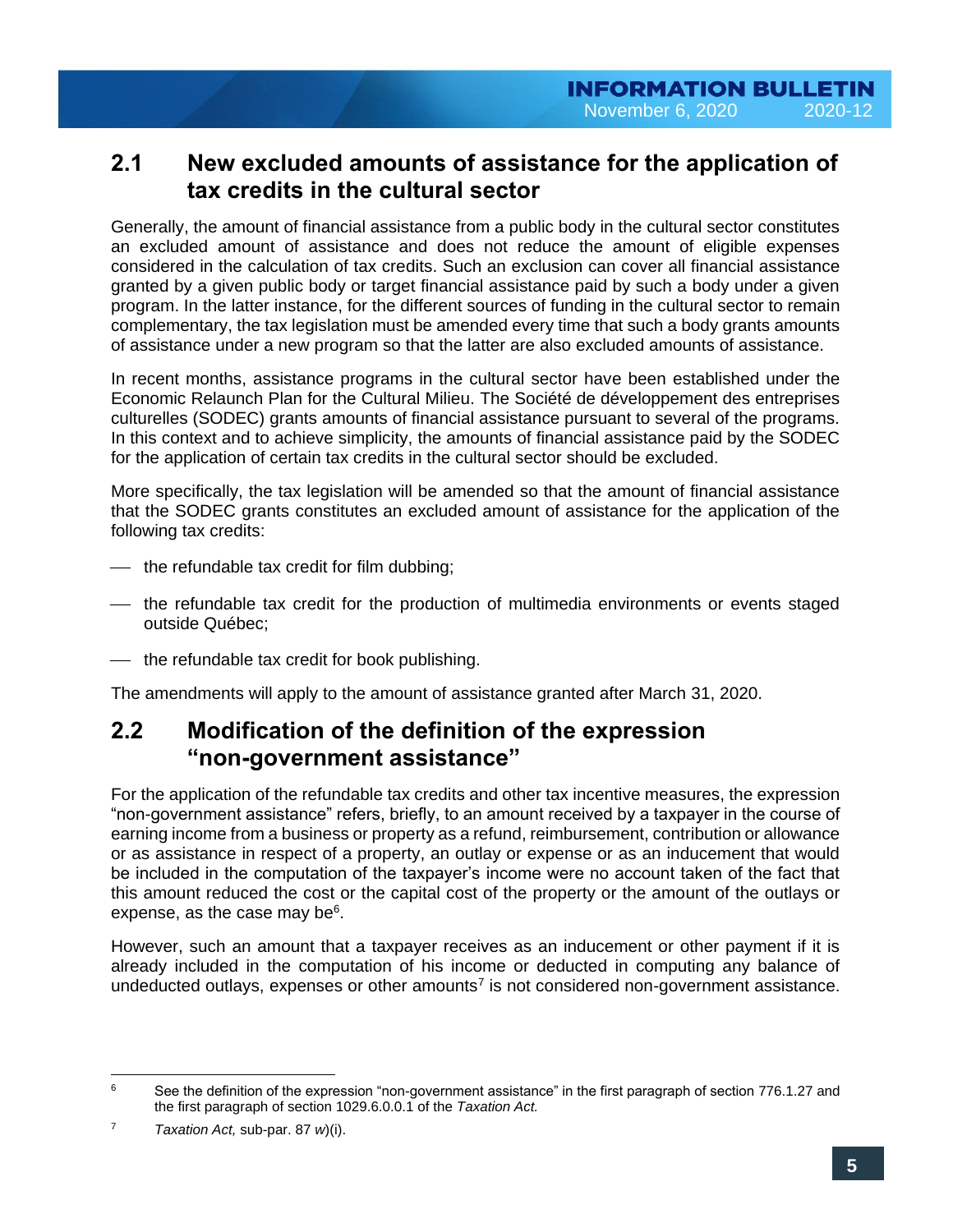## **2.1 New excluded amounts of assistance for the application of tax credits in the cultural sector**

Generally, the amount of financial assistance from a public body in the cultural sector constitutes an excluded amount of assistance and does not reduce the amount of eligible expenses considered in the calculation of tax credits. Such an exclusion can cover all financial assistance granted by a given public body or target financial assistance paid by such a body under a given program. In the latter instance, for the different sources of funding in the cultural sector to remain complementary, the tax legislation must be amended every time that such a body grants amounts of assistance under a new program so that the latter are also excluded amounts of assistance.

In recent months, assistance programs in the cultural sector have been established under the Economic Relaunch Plan for the Cultural Milieu. The Société de développement des entreprises culturelles (SODEC) grants amounts of financial assistance pursuant to several of the programs. In this context and to achieve simplicity, the amounts of financial assistance paid by the SODEC for the application of certain tax credits in the cultural sector should be excluded.

More specifically, the tax legislation will be amended so that the amount of financial assistance that the SODEC grants constitutes an excluded amount of assistance for the application of the following tax credits:

- $\overline{\phantom{a}}$  the refundable tax credit for film dubbing;
- ⎯ the refundable tax credit for the production of multimedia environments or events staged outside Québec;
- the refundable tax credit for book publishing.

The amendments will apply to the amount of assistance granted after March 31, 2020.

## **2.2 Modification of the definition of the expression "non-government assistance"**

For the application of the refundable tax credits and other tax incentive measures, the expression "non-government assistance" refers, briefly, to an amount received by a taxpayer in the course of earning income from a business or property as a refund, reimbursement, contribution or allowance or as assistance in respect of a property, an outlay or expense or as an inducement that would be included in the computation of the taxpayer's income were no account taken of the fact that this amount reduced the cost or the capital cost of the property or the amount of the outlays or expense, as the case may be<sup>6</sup>.

<span id="page-4-1"></span><span id="page-4-0"></span>However, such an amount that a taxpayer receives as an inducement or other payment if it is already included in the computation of his income or deducted in computing any balance of undeducted outlays, expenses or other amounts<sup>7</sup> is not considered non-government assistance.

 $\epsilon$ See the definition of the expression "non-government assistance" in the first paragraph of section 776.1.27 and the first paragraph of section 1029.6.0.0.1 of the *Taxation Act.*

<sup>7</sup> *Taxation Act,* sub-par. 87 *w*)(i).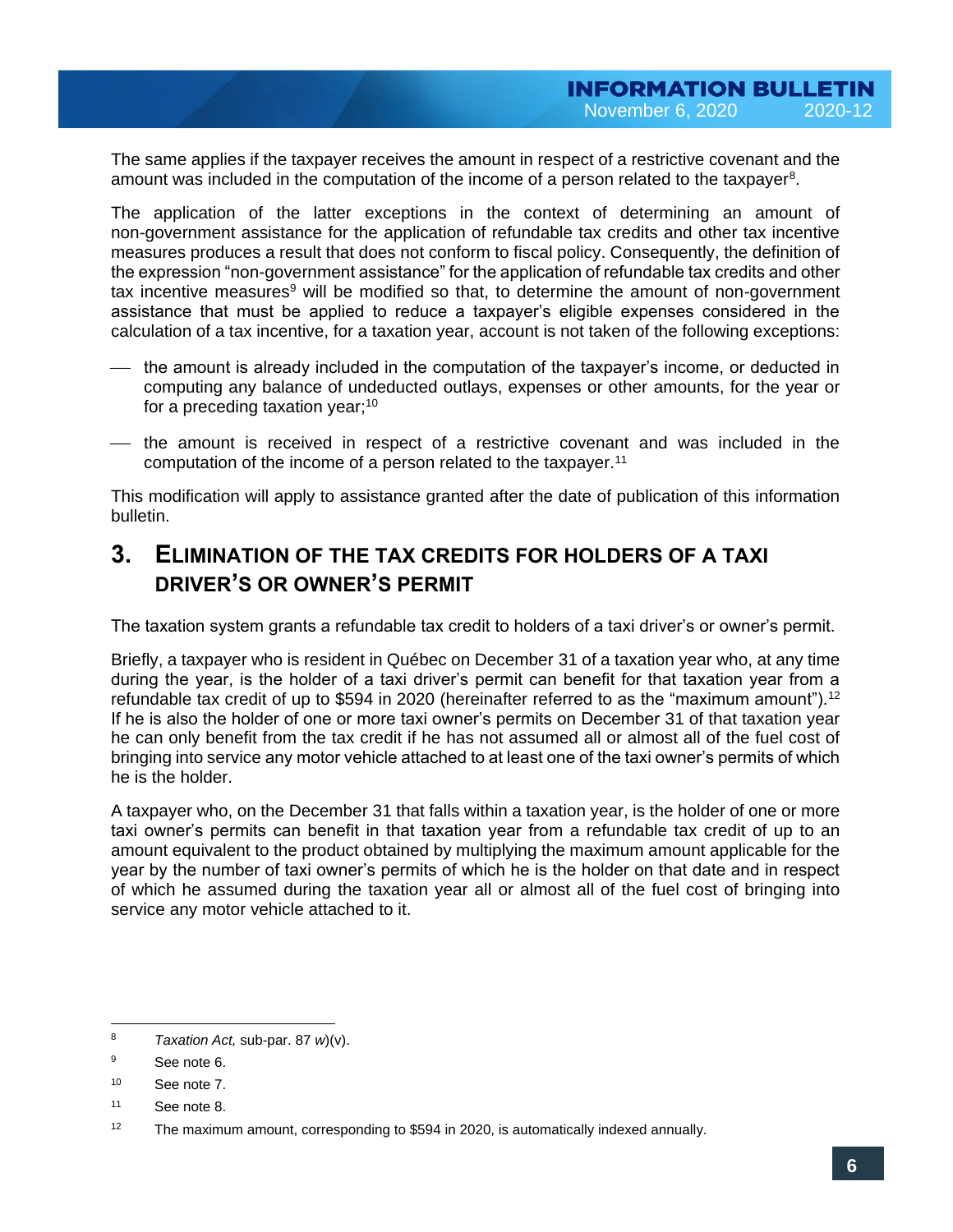<span id="page-5-0"></span>The same applies if the taxpayer receives the amount in respect of a restrictive covenant and the amount was included in the computation of the income of a person related to the taxpayer<sup>8</sup>.

The application of the latter exceptions in the context of determining an amount of non-government assistance for the application of refundable tax credits and other tax incentive measures produces a result that does not conform to fiscal policy. Consequently, the definition of the expression "non-government assistance" for the application of refundable tax credits and other tax incentive measures<sup>9</sup> will be modified so that, to determine the amount of non-government assistance that must be applied to reduce a taxpayer's eligible expenses considered in the calculation of a tax incentive, for a taxation year, account is not taken of the following exceptions:

- the amount is already included in the computation of the taxpayer's income, or deducted in computing any balance of undeducted outlays, expenses or other amounts, for the year or for a preceding taxation year; $10<sup>10</sup>$
- the amount is received in respect of a restrictive covenant and was included in the computation of the income of a person related to the taxpayer.<sup>11</sup>

This modification will apply to assistance granted after the date of publication of this information bulletin.

## **3. ELIMINATION OF THE TAX CREDITS FOR HOLDERS OF A TAXI DRIVER'S OR OWNER'S PERMIT**

The taxation system grants a refundable tax credit to holders of a taxi driver's or owner's permit.

Briefly, a taxpayer who is resident in Québec on December 31 of a taxation year who, at any time during the year, is the holder of a taxi driver's permit can benefit for that taxation year from a refundable tax credit of up to \$594 in 2020 (hereinafter referred to as the "maximum amount").<sup>12</sup> If he is also the holder of one or more taxi owner's permits on December 31 of that taxation vear he can only benefit from the tax credit if he has not assumed all or almost all of the fuel cost of bringing into service any motor vehicle attached to at least one of the taxi owner's permits of which he is the holder.

A taxpayer who, on the December 31 that falls within a taxation year, is the holder of one or more taxi owner's permits can benefit in that taxation year from a refundable tax credit of up to an amount equivalent to the product obtained by multiplying the maximum amount applicable for the year by the number of taxi owner's permits of which he is the holder on that date and in respect of which he assumed during the taxation year all or almost all of the fuel cost of bringing into service any motor vehicle attached to it.

 $\overline{a}$ <sup>8</sup> *Taxation Act,* sub-par. 87 *w*)(v).

<sup>&</sup>lt;sup>9</sup> See note [6.](#page-4-0)

<sup>10</sup> See note [7.](#page-4-1)

<sup>11</sup> See note [8.](#page-5-0)

<sup>&</sup>lt;sup>12</sup> The maximum amount, corresponding to \$594 in 2020, is automatically indexed annually.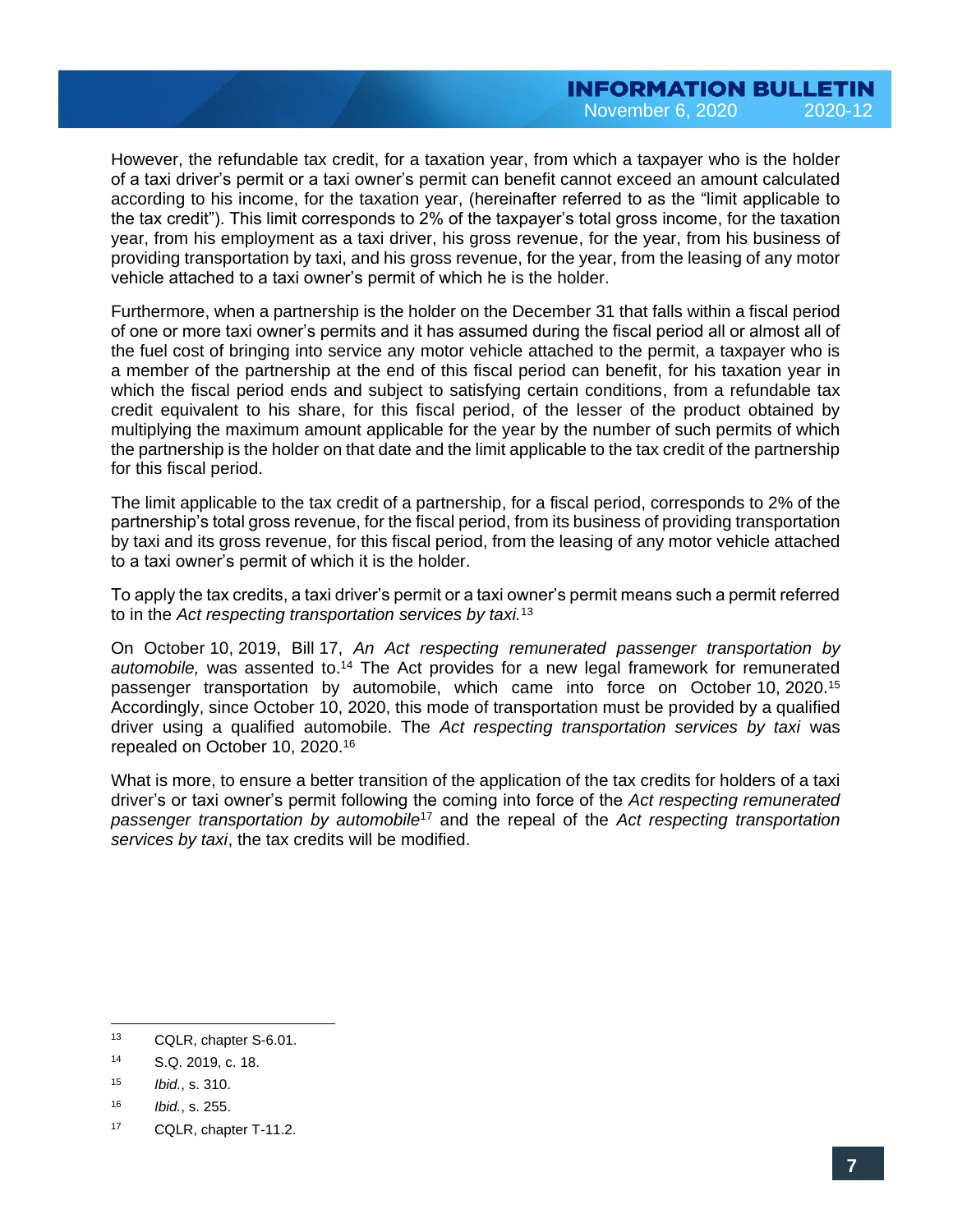However, the refundable tax credit, for a taxation year, from which a taxpayer who is the holder of a taxi driver's permit or a taxi owner's permit can benefit cannot exceed an amount calculated according to his income, for the taxation year, (hereinafter referred to as the "limit applicable to the tax credit"). This limit corresponds to 2% of the taxpayer's total gross income, for the taxation year, from his employment as a taxi driver, his gross revenue, for the year, from his business of providing transportation by taxi, and his gross revenue, for the year, from the leasing of any motor vehicle attached to a taxi owner's permit of which he is the holder.

Furthermore, when a partnership is the holder on the December 31 that falls within a fiscal period of one or more taxi owner's permits and it has assumed during the fiscal period all or almost all of the fuel cost of bringing into service any motor vehicle attached to the permit, a taxpayer who is a member of the partnership at the end of this fiscal period can benefit, for his taxation year in which the fiscal period ends and subject to satisfying certain conditions, from a refundable tax credit equivalent to his share, for this fiscal period, of the lesser of the product obtained by multiplying the maximum amount applicable for the year by the number of such permits of which the partnership is the holder on that date and the limit applicable to the tax credit of the partnership for this fiscal period.

The limit applicable to the tax credit of a partnership, for a fiscal period, corresponds to 2% of the partnership's total gross revenue, for the fiscal period, from its business of providing transportation by taxi and its gross revenue, for this fiscal period, from the leasing of any motor vehicle attached to a taxi owner's permit of which it is the holder.

To apply the tax credits, a taxi driver's permit or a taxi owner's permit means such a permit referred to in the *Act respecting transportation services by taxi.*<sup>13</sup>

On October 10, 2019, Bill 17, *An Act respecting remunerated passenger transportation by*  automobile, was assented to.<sup>14</sup> The Act provides for a new legal framework for remunerated passenger transportation by automobile, which came into force on October 10, 2020.<sup>15</sup> Accordingly, since October 10, 2020, this mode of transportation must be provided by a qualified driver using a qualified automobile. The *Act respecting transportation services by taxi* was repealed on October 10, 2020.<sup>16</sup>

What is more, to ensure a better transition of the application of the tax credits for holders of a taxi driver's or taxi owner's permit following the coming into force of the *Act respecting remunerated passenger transportation by automobile*<sup>17</sup> and the repeal of the *Act respecting transportation services by taxi*, the tax credits will be modified.

 $\overline{a}$ <sup>13</sup> CQLR, chapter S-6.01.

<sup>14</sup> S.Q. 2019, c. 18.

<sup>15</sup> *Ibid.*, s. 310.

<sup>16</sup> *Ibid.*, s. 255.

<sup>17</sup> CQLR, chapter T-11.2.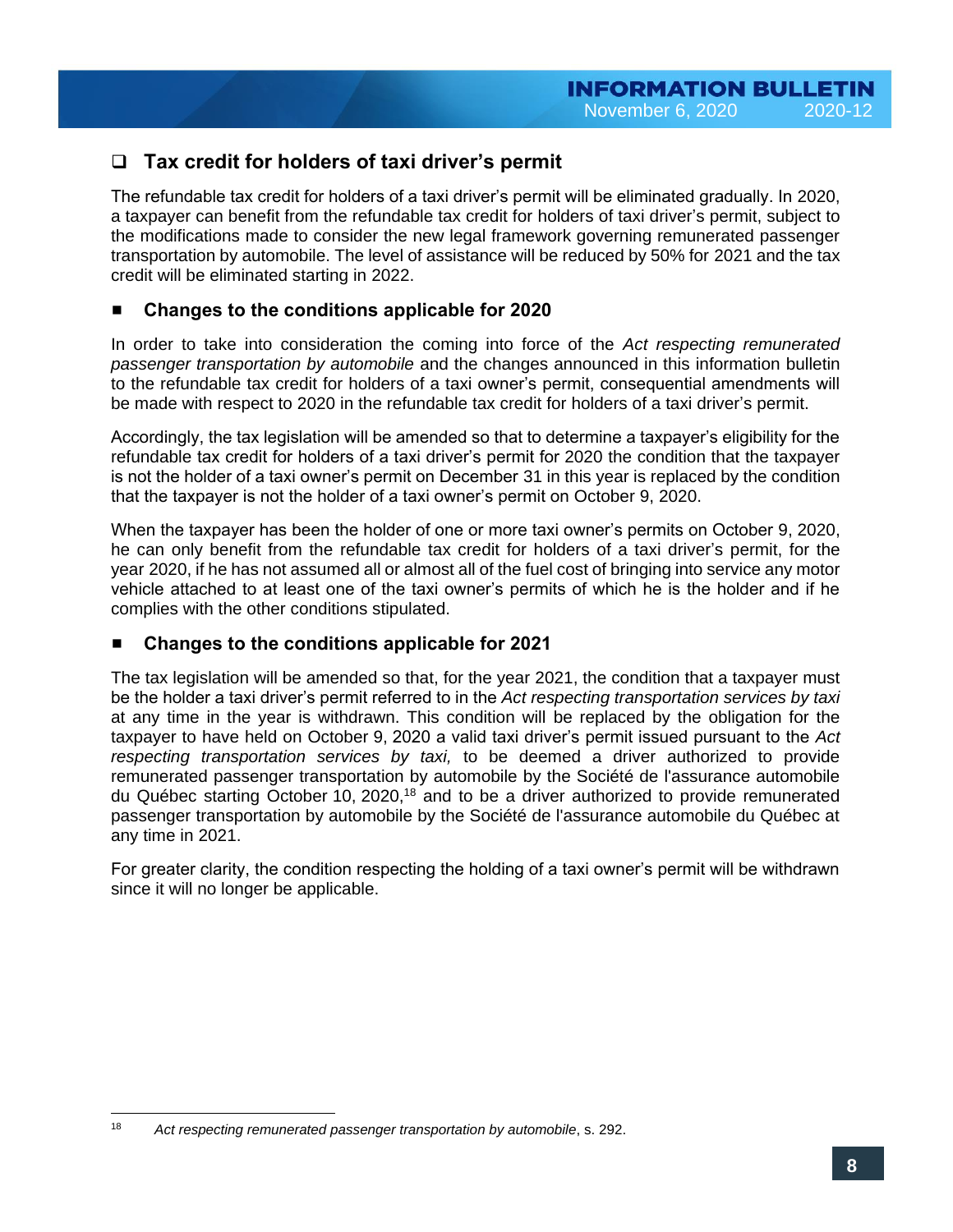## ❑ **Tax credit for holders of taxi driver's permit**

The refundable tax credit for holders of a taxi driver's permit will be eliminated gradually. In 2020, a taxpayer can benefit from the refundable tax credit for holders of taxi driver's permit, subject to the modifications made to consider the new legal framework governing remunerated passenger transportation by automobile. The level of assistance will be reduced by 50% for 2021 and the tax credit will be eliminated starting in 2022.

## **Changes to the conditions applicable for 2020**

In order to take into consideration the coming into force of the *Act respecting remunerated passenger transportation by automobile* and the changes announced in this information bulletin to the refundable tax credit for holders of a taxi owner's permit, consequential amendments will be made with respect to 2020 in the refundable tax credit for holders of a taxi driver's permit.

Accordingly, the tax legislation will be amended so that to determine a taxpayer's eligibility for the refundable tax credit for holders of a taxi driver's permit for 2020 the condition that the taxpayer is not the holder of a taxi owner's permit on December 31 in this year is replaced by the condition that the taxpayer is not the holder of a taxi owner's permit on October 9, 2020.

When the taxpayer has been the holder of one or more taxi owner's permits on October 9, 2020, he can only benefit from the refundable tax credit for holders of a taxi driver's permit, for the year 2020, if he has not assumed all or almost all of the fuel cost of bringing into service any motor vehicle attached to at least one of the taxi owner's permits of which he is the holder and if he complies with the other conditions stipulated.

#### **Changes to the conditions applicable for 2021**

The tax legislation will be amended so that, for the year 2021, the condition that a taxpayer must be the holder a taxi driver's permit referred to in the *Act respecting transportation services by taxi*  at any time in the year is withdrawn. This condition will be replaced by the obligation for the taxpayer to have held on October 9, 2020 a valid taxi driver's permit issued pursuant to the *Act respecting transportation services by taxi,* to be deemed a driver authorized to provide remunerated passenger transportation by automobile by the Société de l'assurance automobile du Québec starting October 10, 2020,<sup>18</sup> and to be a driver authorized to provide remunerated passenger transportation by automobile by the Société de l'assurance automobile du Québec at any time in 2021.

For greater clarity, the condition respecting the holding of a taxi owner's permit will be withdrawn since it will no longer be applicable.

<sup>18</sup> Act respecting remunerated passenger transportation by automobile, s. 292.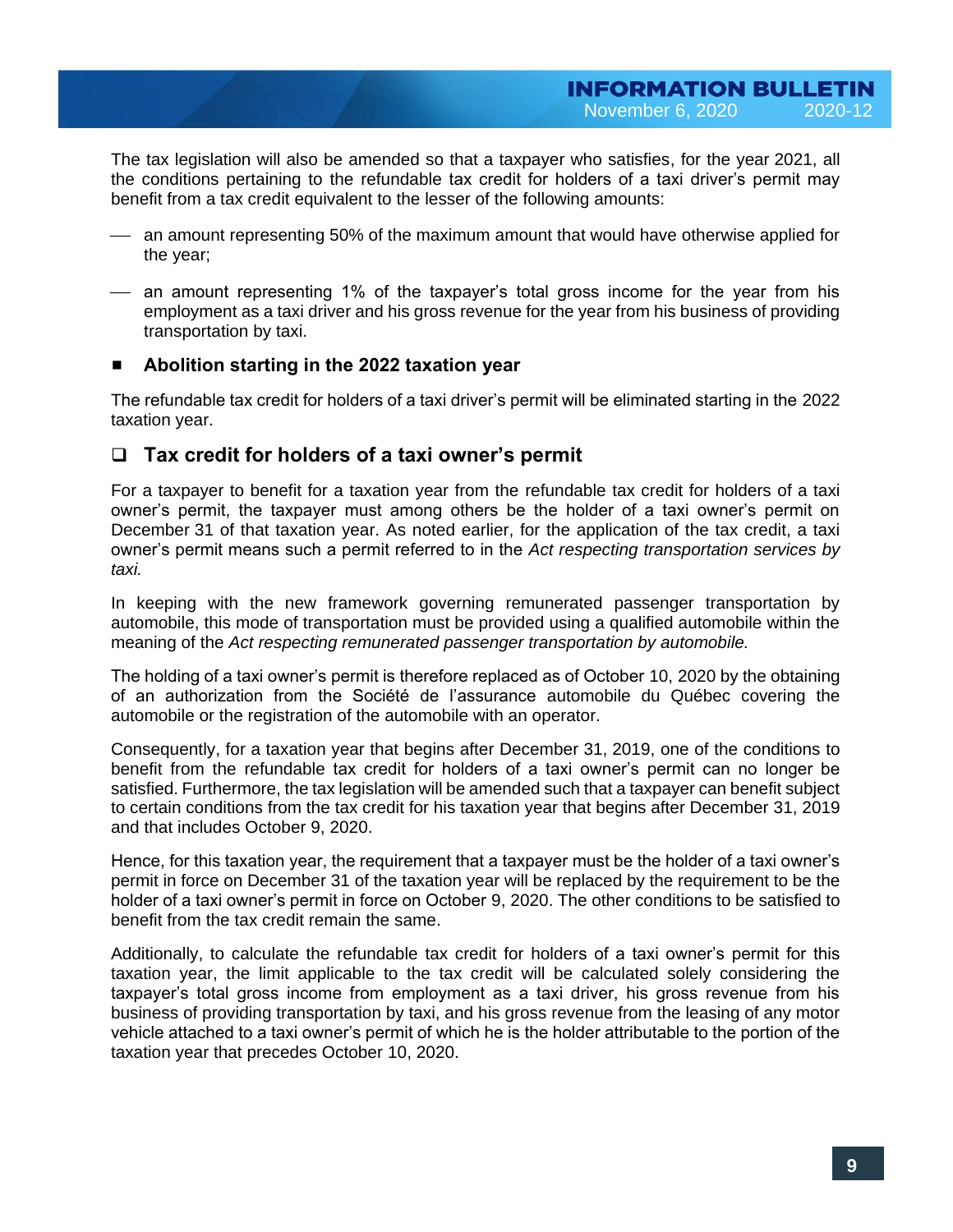The tax legislation will also be amended so that a taxpayer who satisfies, for the year 2021, all the conditions pertaining to the refundable tax credit for holders of a taxi driver's permit may benefit from a tax credit equivalent to the lesser of the following amounts:

- $-$  an amount representing 50% of the maximum amount that would have otherwise applied for the year;
- $-$  an amount representing 1% of the taxpayer's total gross income for the year from his employment as a taxi driver and his gross revenue for the year from his business of providing transportation by taxi.

### **Abolition starting in the 2022 taxation year**

The refundable tax credit for holders of a taxi driver's permit will be eliminated starting in the 2022 taxation year.

## ❑ **Tax credit for holders of a taxi owner's permit**

For a taxpayer to benefit for a taxation year from the refundable tax credit for holders of a taxi owner's permit, the taxpayer must among others be the holder of a taxi owner's permit on December 31 of that taxation year. As noted earlier, for the application of the tax credit, a taxi owner's permit means such a permit referred to in the *Act respecting transportation services by taxi.*

In keeping with the new framework governing remunerated passenger transportation by automobile, this mode of transportation must be provided using a qualified automobile within the meaning of the *Act respecting remunerated passenger transportation by automobile.*

The holding of a taxi owner's permit is therefore replaced as of October 10, 2020 by the obtaining of an authorization from the Société de l'assurance automobile du Québec covering the automobile or the registration of the automobile with an operator.

Consequently, for a taxation year that begins after December 31, 2019, one of the conditions to benefit from the refundable tax credit for holders of a taxi owner's permit can no longer be satisfied. Furthermore, the tax legislation will be amended such that a taxpayer can benefit subject to certain conditions from the tax credit for his taxation year that begins after December 31, 2019 and that includes October 9, 2020.

Hence, for this taxation year, the requirement that a taxpayer must be the holder of a taxi owner's permit in force on December 31 of the taxation year will be replaced by the requirement to be the holder of a taxi owner's permit in force on October 9, 2020. The other conditions to be satisfied to benefit from the tax credit remain the same.

Additionally, to calculate the refundable tax credit for holders of a taxi owner's permit for this taxation year, the limit applicable to the tax credit will be calculated solely considering the taxpayer's total gross income from employment as a taxi driver, his gross revenue from his business of providing transportation by taxi, and his gross revenue from the leasing of any motor vehicle attached to a taxi owner's permit of which he is the holder attributable to the portion of the taxation year that precedes October 10, 2020.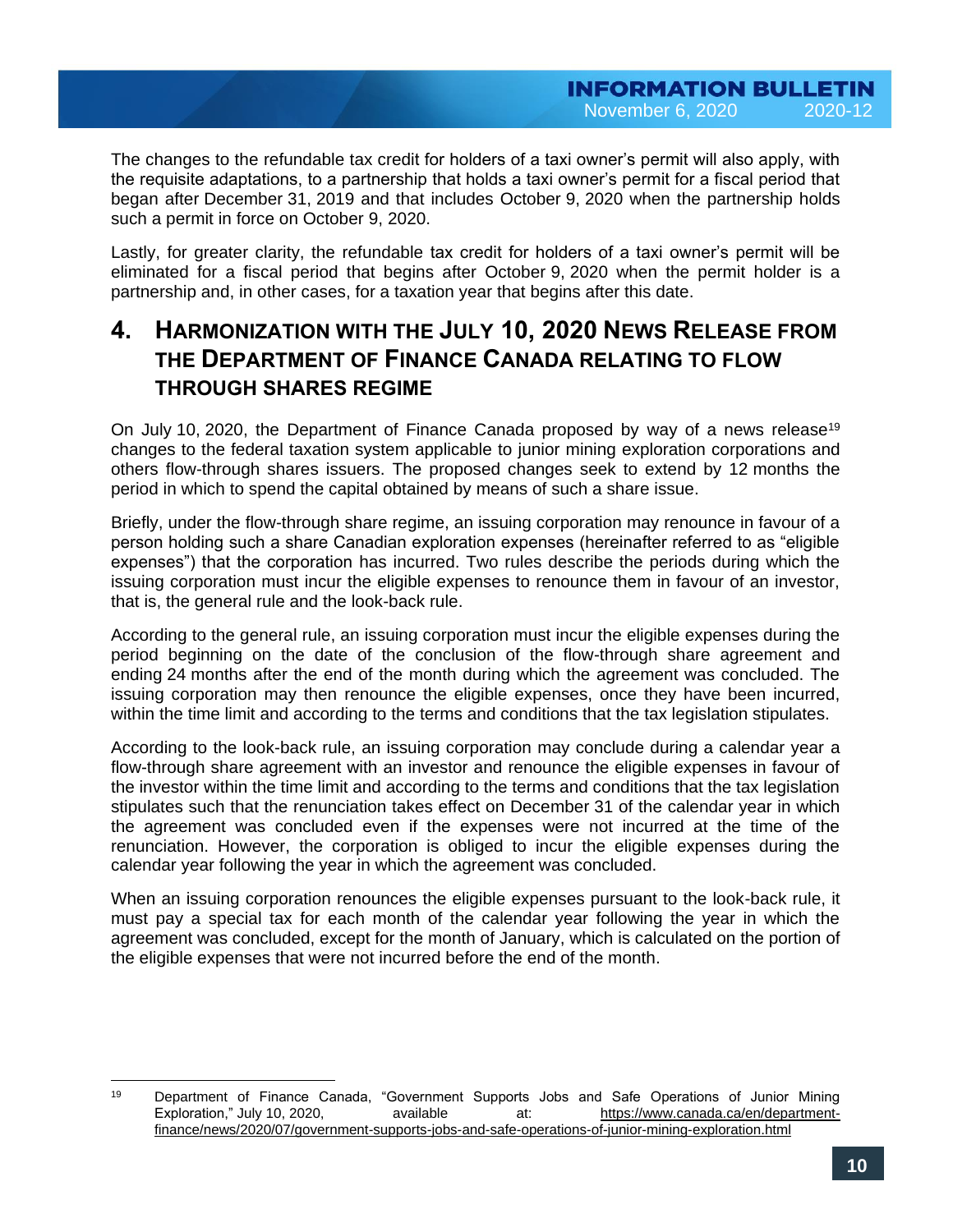The changes to the refundable tax credit for holders of a taxi owner's permit will also apply, with the requisite adaptations, to a partnership that holds a taxi owner's permit for a fiscal period that began after December 31, 2019 and that includes October 9, 2020 when the partnership holds such a permit in force on October 9, 2020.

Lastly, for greater clarity, the refundable tax credit for holders of a taxi owner's permit will be eliminated for a fiscal period that begins after October 9, 2020 when the permit holder is a partnership and, in other cases, for a taxation year that begins after this date.

# **4. HARMONIZATION WITH THE JULY 10, 2020 NEWS RELEASE FROM THE DEPARTMENT OF FINANCE CANADA RELATING TO FLOW THROUGH SHARES REGIME**

On July 10, 2020, the Department of Finance Canada proposed by way of a news release<sup>19</sup> changes to the federal taxation system applicable to junior mining exploration corporations and others flow-through shares issuers. The proposed changes seek to extend by 12 months the period in which to spend the capital obtained by means of such a share issue.

Briefly, under the flow-through share regime, an issuing corporation may renounce in favour of a person holding such a share Canadian exploration expenses (hereinafter referred to as "eligible expenses") that the corporation has incurred. Two rules describe the periods during which the issuing corporation must incur the eligible expenses to renounce them in favour of an investor, that is, the general rule and the look-back rule.

According to the general rule, an issuing corporation must incur the eligible expenses during the period beginning on the date of the conclusion of the flow-through share agreement and ending 24 months after the end of the month during which the agreement was concluded. The issuing corporation may then renounce the eligible expenses, once they have been incurred, within the time limit and according to the terms and conditions that the tax legislation stipulates.

According to the look-back rule, an issuing corporation may conclude during a calendar year a flow-through share agreement with an investor and renounce the eligible expenses in favour of the investor within the time limit and according to the terms and conditions that the tax legislation stipulates such that the renunciation takes effect on December 31 of the calendar year in which the agreement was concluded even if the expenses were not incurred at the time of the renunciation. However, the corporation is obliged to incur the eligible expenses during the calendar year following the year in which the agreement was concluded.

When an issuing corporation renounces the eligible expenses pursuant to the look-back rule, it must pay a special tax for each month of the calendar year following the year in which the agreement was concluded, except for the month of January, which is calculated on the portion of the eligible expenses that were not incurred before the end of the month.

<sup>19</sup> <sup>19</sup> Department of Finance Canada, "Government Supports Jobs and Safe Operations of Junior Mining Exploration," July 10, 2020, available at: [https://www.canada.ca/en/department](https://www.canada.ca/en/department-finance/news/2020/07/government-supports-jobs-and-safe-operations-of-junior-mining-exploration.html)[finance/news/2020/07/government-supports-jobs-and-safe-operations-of-junior-mining-exploration.html](https://www.canada.ca/en/department-finance/news/2020/07/government-supports-jobs-and-safe-operations-of-junior-mining-exploration.html)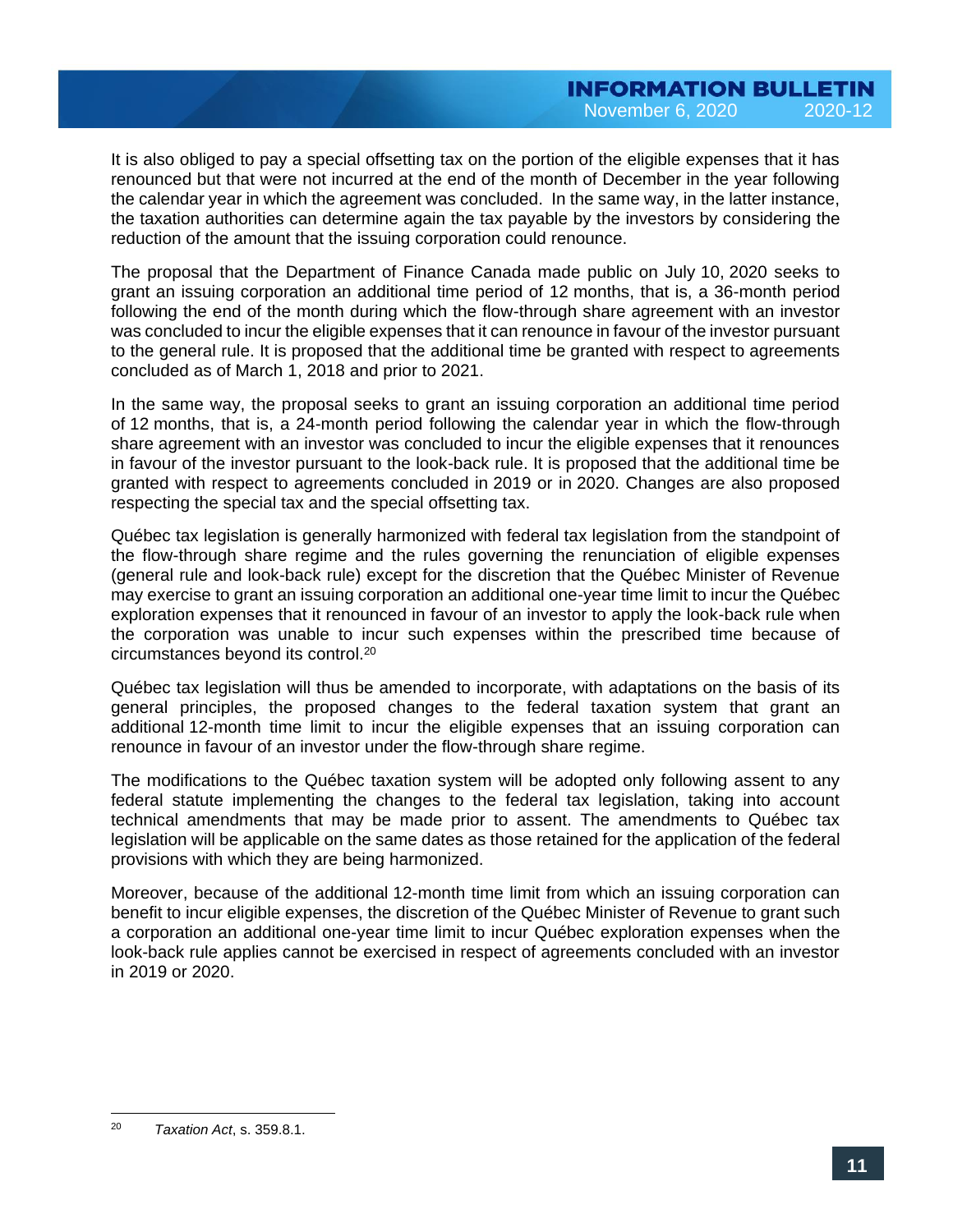It is also obliged to pay a special offsetting tax on the portion of the eligible expenses that it has renounced but that were not incurred at the end of the month of December in the year following the calendar year in which the agreement was concluded. In the same way, in the latter instance, the taxation authorities can determine again the tax payable by the investors by considering the reduction of the amount that the issuing corporation could renounce.

The proposal that the Department of Finance Canada made public on July 10, 2020 seeks to grant an issuing corporation an additional time period of 12 months, that is, a 36-month period following the end of the month during which the flow-through share agreement with an investor was concluded to incur the eligible expenses that it can renounce in favour of the investor pursuant to the general rule. It is proposed that the additional time be granted with respect to agreements concluded as of March 1, 2018 and prior to 2021.

In the same way, the proposal seeks to grant an issuing corporation an additional time period of 12 months, that is, a 24-month period following the calendar year in which the flow-through share agreement with an investor was concluded to incur the eligible expenses that it renounces in favour of the investor pursuant to the look-back rule. It is proposed that the additional time be granted with respect to agreements concluded in 2019 or in 2020. Changes are also proposed respecting the special tax and the special offsetting tax.

Québec tax legislation is generally harmonized with federal tax legislation from the standpoint of the flow-through share regime and the rules governing the renunciation of eligible expenses (general rule and look-back rule) except for the discretion that the Québec Minister of Revenue may exercise to grant an issuing corporation an additional one-year time limit to incur the Québec exploration expenses that it renounced in favour of an investor to apply the look-back rule when the corporation was unable to incur such expenses within the prescribed time because of circumstances beyond its control.<sup>20</sup>

Québec tax legislation will thus be amended to incorporate, with adaptations on the basis of its general principles, the proposed changes to the federal taxation system that grant an additional 12-month time limit to incur the eligible expenses that an issuing corporation can renounce in favour of an investor under the flow-through share regime.

The modifications to the Québec taxation system will be adopted only following assent to any federal statute implementing the changes to the federal tax legislation, taking into account technical amendments that may be made prior to assent. The amendments to Québec tax legislation will be applicable on the same dates as those retained for the application of the federal provisions with which they are being harmonized.

Moreover, because of the additional 12-month time limit from which an issuing corporation can benefit to incur eligible expenses, the discretion of the Québec Minister of Revenue to grant such a corporation an additional one-year time limit to incur Québec exploration expenses when the look-back rule applies cannot be exercised in respect of agreements concluded with an investor in 2019 or 2020.

 $20$ <sup>20</sup> *Taxation Act*, s. 359.8.1.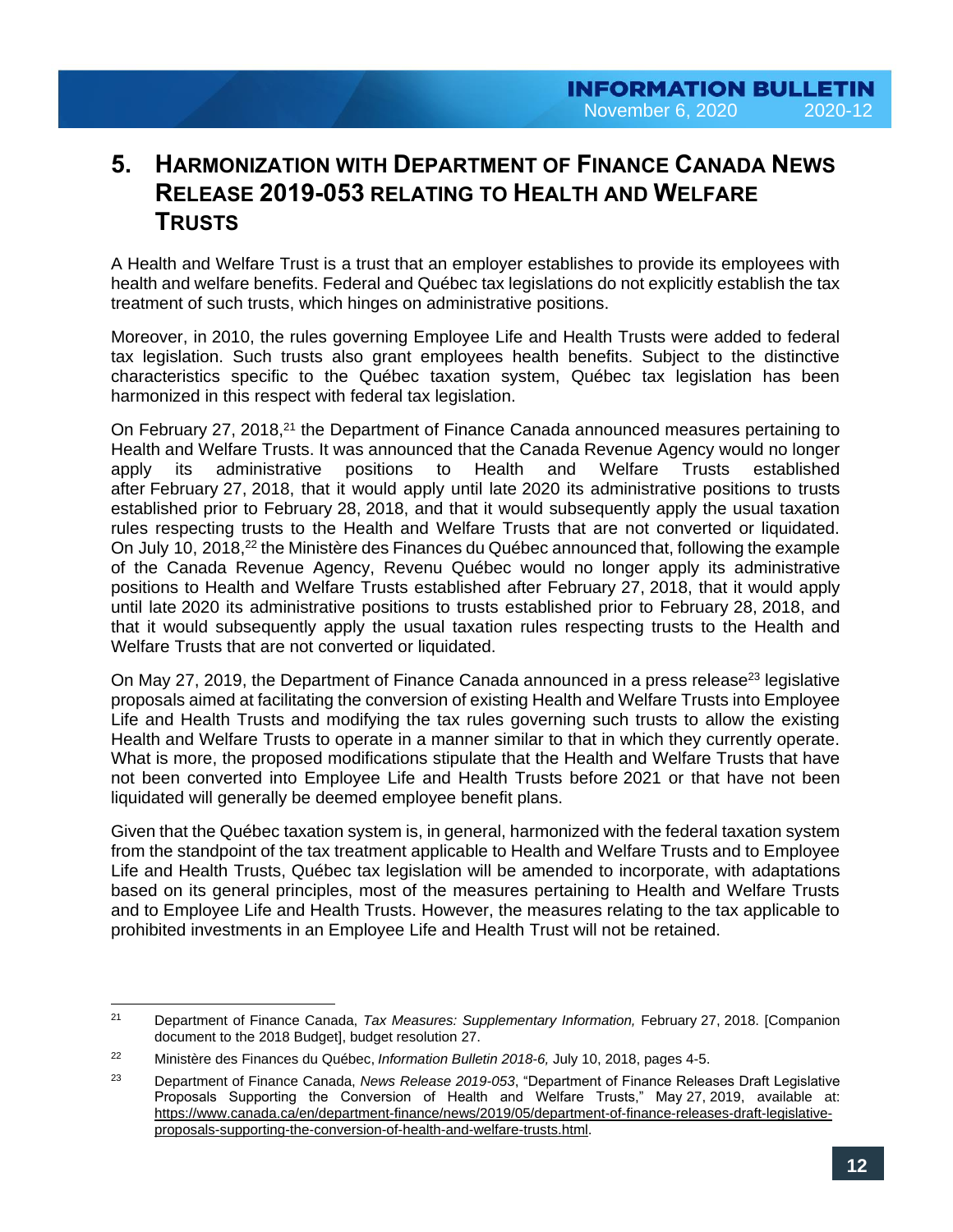# **5. HARMONIZATION WITH DEPARTMENT OF FINANCE CANADA NEWS RELEASE 2019-053 RELATING TO HEALTH AND WELFARE TRUSTS**

A Health and Welfare Trust is a trust that an employer establishes to provide its employees with health and welfare benefits. Federal and Québec tax legislations do not explicitly establish the tax treatment of such trusts, which hinges on administrative positions.

Moreover, in 2010, the rules governing Employee Life and Health Trusts were added to federal tax legislation. Such trusts also grant employees health benefits. Subject to the distinctive characteristics specific to the Québec taxation system, Québec tax legislation has been harmonized in this respect with federal tax legislation.

On February 27, 2018,<sup>21</sup> the Department of Finance Canada announced measures pertaining to Health and Welfare Trusts. It was announced that the Canada Revenue Agency would no longer apply its administrative positions to Health and Welfare Trusts established after February 27, 2018, that it would apply until late 2020 its administrative positions to trusts established prior to February 28, 2018, and that it would subsequently apply the usual taxation rules respecting trusts to the Health and Welfare Trusts that are not converted or liquidated. On July 10, 2018,<sup>22</sup> the Ministère des Finances du Québec announced that, following the example of the Canada Revenue Agency, Revenu Québec would no longer apply its administrative positions to Health and Welfare Trusts established after February 27, 2018, that it would apply until late 2020 its administrative positions to trusts established prior to February 28, 2018, and that it would subsequently apply the usual taxation rules respecting trusts to the Health and Welfare Trusts that are not converted or liquidated.

On May 27, 2019, the Department of Finance Canada announced in a press release<sup>23</sup> legislative proposals aimed at facilitating the conversion of existing Health and Welfare Trusts into Employee Life and Health Trusts and modifying the tax rules governing such trusts to allow the existing Health and Welfare Trusts to operate in a manner similar to that in which they currently operate. What is more, the proposed modifications stipulate that the Health and Welfare Trusts that have not been converted into Employee Life and Health Trusts before 2021 or that have not been liquidated will generally be deemed employee benefit plans.

Given that the Québec taxation system is, in general, harmonized with the federal taxation system from the standpoint of the tax treatment applicable to Health and Welfare Trusts and to Employee Life and Health Trusts, Québec tax legislation will be amended to incorporate, with adaptations based on its general principles, most of the measures pertaining to Health and Welfare Trusts and to Employee Life and Health Trusts. However, the measures relating to the tax applicable to prohibited investments in an Employee Life and Health Trust will not be retained.

 $\overline{a}$ 

<sup>21</sup> Department of Finance Canada, *Tax Measures: Supplementary Information,* February 27, 2018. [Companion document to the 2018 Budget], budget resolution 27.

<sup>22</sup> Ministère des Finances du Québec, *Information Bulletin 2018-6,* July 10, 2018, pages 4-5.

<sup>23</sup> Department of Finance Canada, *News Release 2019-053*, "Department of Finance Releases Draft Legislative Proposals Supporting the Conversion of Health and Welfare Trusts," May 27, 2019, available at: [https://www.canada.ca/en/department-finance/news/2019/05/department-of-finance-releases-draft-legislative](https://www.canada.ca/en/department-finance/news/2019/05/department-of-finance-releases-draft-legislative-proposals-supporting-the-conversion-of-health-and-welfare-trusts.html)[proposals-supporting-the-conversion-of-health-and-welfare-trusts.html.](https://www.canada.ca/en/department-finance/news/2019/05/department-of-finance-releases-draft-legislative-proposals-supporting-the-conversion-of-health-and-welfare-trusts.html)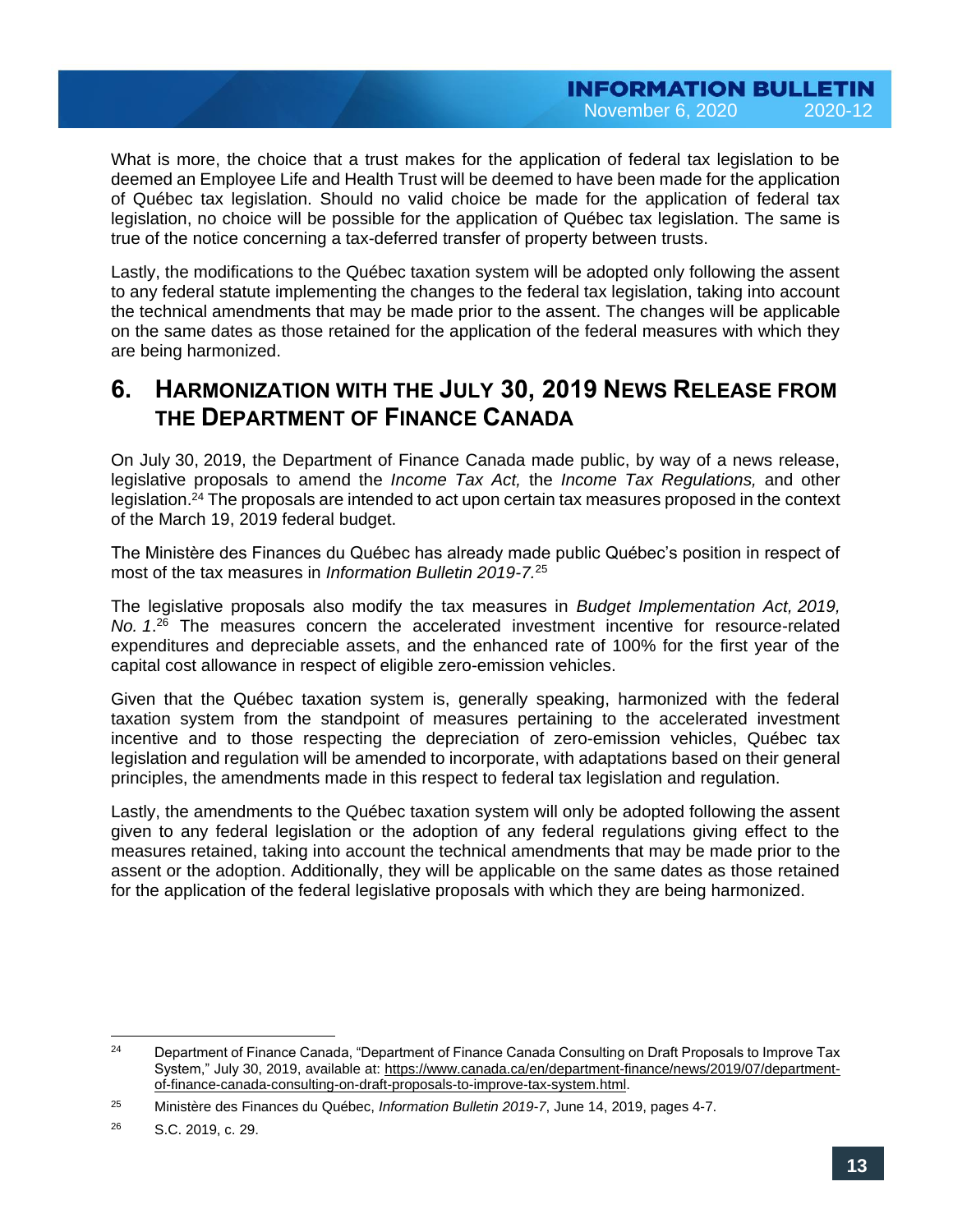What is more, the choice that a trust makes for the application of federal tax legislation to be deemed an Employee Life and Health Trust will be deemed to have been made for the application of Québec tax legislation. Should no valid choice be made for the application of federal tax legislation, no choice will be possible for the application of Québec tax legislation. The same is true of the notice concerning a tax-deferred transfer of property between trusts.

Lastly, the modifications to the Québec taxation system will be adopted only following the assent to any federal statute implementing the changes to the federal tax legislation, taking into account the technical amendments that may be made prior to the assent. The changes will be applicable on the same dates as those retained for the application of the federal measures with which they are being harmonized.

## **6. HARMONIZATION WITH THE JULY 30, 2019 NEWS RELEASE FROM THE DEPARTMENT OF FINANCE CANADA**

On July 30, 2019, the Department of Finance Canada made public, by way of a news release, legislative proposals to amend the *Income Tax Act,* the *Income Tax Regulations,* and other legislation.<sup>24</sup> The proposals are intended to act upon certain tax measures proposed in the context of the March 19, 2019 federal budget.

The Ministère des Finances du Québec has already made public Québec's position in respect of most of the tax measures in *Information Bulletin 2019-7.*<sup>25</sup>

The legislative proposals also modify the tax measures in *Budget Implementation Act, 2019, No. 1*. <sup>26</sup> The measures concern the accelerated investment incentive for resource-related expenditures and depreciable assets, and the enhanced rate of 100% for the first year of the capital cost allowance in respect of eligible zero-emission vehicles.

Given that the Québec taxation system is, generally speaking, harmonized with the federal taxation system from the standpoint of measures pertaining to the accelerated investment incentive and to those respecting the depreciation of zero-emission vehicles, Québec tax legislation and regulation will be amended to incorporate, with adaptations based on their general principles, the amendments made in this respect to federal tax legislation and regulation.

Lastly, the amendments to the Québec taxation system will only be adopted following the assent given to any federal legislation or the adoption of any federal regulations giving effect to the measures retained, taking into account the technical amendments that may be made prior to the assent or the adoption. Additionally, they will be applicable on the same dates as those retained for the application of the federal legislative proposals with which they are being harmonized.

 $24$ <sup>24</sup> Department of Finance Canada, "Department of Finance Canada Consulting on Draft Proposals to Improve Tax System," July 30, 2019, available at: [https://www.canada.ca/en/department-finance/news/2019/07/department](https://www.canada.ca/en/department-finance/news/2019/07/department-of-finance-canada-consulting-on-draft-proposals-to-improve-tax-system.html)[of-finance-canada-consulting-on-draft-proposals-to-improve-tax-system.html.](https://www.canada.ca/en/department-finance/news/2019/07/department-of-finance-canada-consulting-on-draft-proposals-to-improve-tax-system.html)

<sup>25</sup> Ministère des Finances du Québec, *Information Bulletin 2019-7*, June 14, 2019, pages 4-7.

<sup>26</sup> S.C. 2019, c. 29.